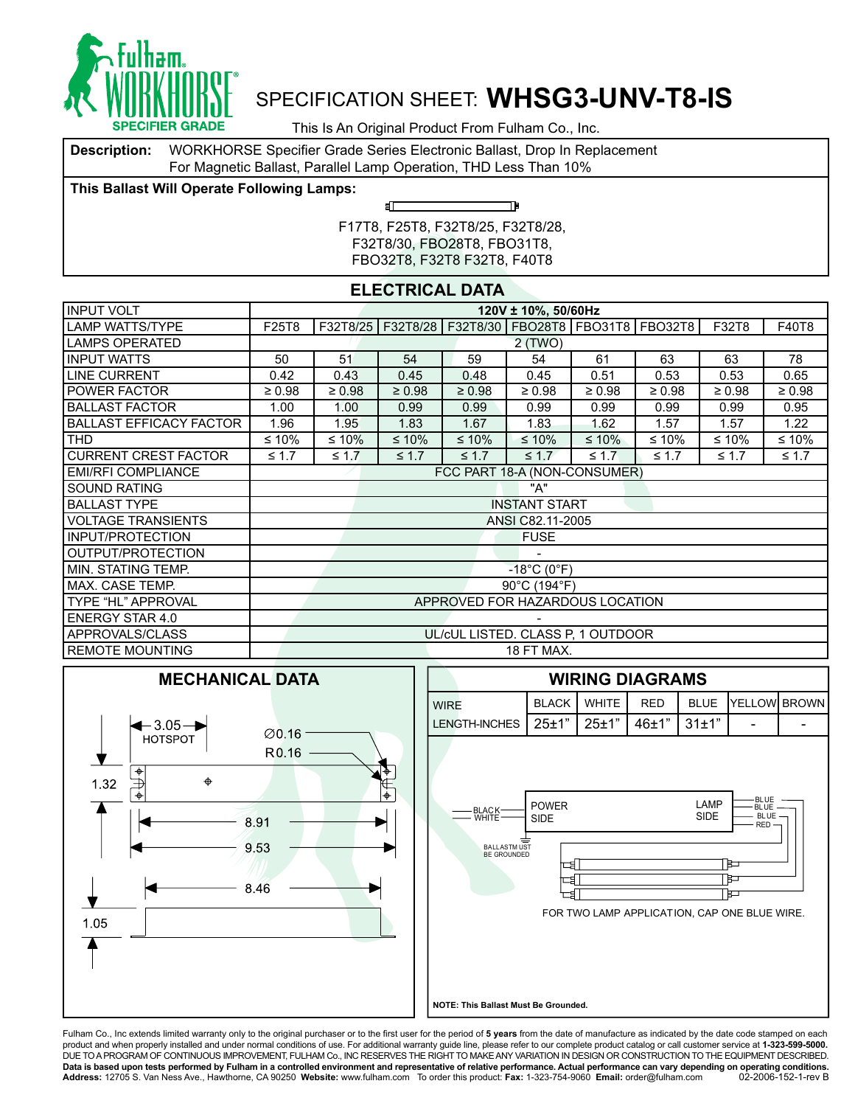

This Is An Original Product From Fulham Co., Inc.

**Description:** WORKHORSE Specifier Grade Series Electronic Ballast, Drop In Replacement For Magnetic Ballast, Parallel Lamp Operation, THD Less Than 10%

ள

**This Ballast Will Operate Following Lamps:**

TÞ

F17T8, F25T8, F32T8/25, F32T8/28, F32T8/30, FBO28T8, FBO31T8, FBO32T8, F32T8 F32T8, F40T8

### **ELECTRICAL DATA**

| INPUT VOLT                     | 120V ± 10%, 50/60Hz |                              |             |             |                                  |                                   |                                                              |             |             |  |  |  |
|--------------------------------|---------------------|------------------------------|-------------|-------------|----------------------------------|-----------------------------------|--------------------------------------------------------------|-------------|-------------|--|--|--|
| <b>LAMP WATTS/TYPE</b>         | F25T8               |                              |             |             |                                  |                                   | F32T8/25   F32T8/28   F32T8/30   FBO28T8   FBO31T8   FBO32T8 | F32T8       | F40T8       |  |  |  |
| LAMPS OPERATED                 |                     | 2(TWO)                       |             |             |                                  |                                   |                                                              |             |             |  |  |  |
| <b>INPUT WATTS</b>             | 50                  | 51                           | 54          | 59          | 54                               | 61                                | 63                                                           | 63          | 78          |  |  |  |
| <b>LINE CURRENT</b>            | 0.42                | 0.43                         | 0.45        | 0.48        | 0.45                             | 0.51                              | 0.53                                                         | 0.53        | 0.65        |  |  |  |
| <b>I POWER FACTOR</b>          | $\geq 0.98$         | $\geq 0.98$                  | $\geq 0.98$ | $\geq 0.98$ | $\geq 0.98$                      | $\geq 0.98$                       | $\geq 0.98$                                                  | $\geq 0.98$ | $\geq 0.98$ |  |  |  |
| <b>BALLAST FACTOR</b>          | 1.00                | 1.00                         | 0.99        | 0.99        | 0.99                             | 0.99                              | 0.99                                                         | 0.99        | 0.95        |  |  |  |
| <b>BALLAST EFFICACY FACTOR</b> | 1.96                | 1.95                         | 1.83        | 1.67        | 1.83                             | 1.62                              | 1.57                                                         | 1.57        | 1.22        |  |  |  |
| <b>THD</b>                     | ≤ 10%               | ≤ 10%                        | $≤ 10%$     | $≤ 10%$     | $\leq 10\%$                      | $≤ 10\%$                          | ≤ 10%                                                        | ≤ 10%       | ≤ 10%       |  |  |  |
| <b>CURRENT CREST FACTOR</b>    | $\leq 1.7$          | $\leq 1.7$                   | $\leq 1.7$  | $\leq 1.7$  | $\leq 1.7$                       | $\leq 1.7$                        | $\leq 1.7$                                                   | $\leq 1.7$  | $\leq 1.7$  |  |  |  |
| <b>EMI/RFI COMPLIANCE</b>      |                     | FCC PART 18-A (NON-CONSUMER) |             |             |                                  |                                   |                                                              |             |             |  |  |  |
| <b>SOUND RATING</b>            |                     |                              |             |             | "A"                              |                                   |                                                              |             |             |  |  |  |
| <b>BALLAST TYPE</b>            |                     |                              |             |             | <b>INSTANT START</b>             |                                   |                                                              |             |             |  |  |  |
| <b>VOLTAGE TRANSIENTS</b>      |                     |                              |             |             | ANSI C82.11-2005                 |                                   |                                                              |             |             |  |  |  |
| INPUT/PROTECTION               |                     |                              |             |             | <b>FUSE</b>                      |                                   |                                                              |             |             |  |  |  |
| OUTPUT/PROTECTION              |                     |                              |             |             |                                  |                                   |                                                              |             |             |  |  |  |
| I MIN. STATING TEMP.           |                     |                              |             |             | $-18^{\circ}$ C (0 $^{\circ}$ F) |                                   |                                                              |             |             |  |  |  |
| IMAX. CASE TEMP.               |                     |                              |             |             | 90°C (194°F)                     |                                   |                                                              |             |             |  |  |  |
| TYPE "HL" APPROVAL             |                     |                              |             |             |                                  | APPROVED FOR HAZARDOUS LOCATION   |                                                              |             |             |  |  |  |
| <b>ENERGY STAR 4.0</b>         |                     |                              |             |             |                                  |                                   |                                                              |             |             |  |  |  |
| APPROVALS/CLASS                |                     |                              |             |             |                                  | UL/cUL LISTED. CLASS P, 1 OUTDOOR |                                                              |             |             |  |  |  |
| <b>REMOTE MOUNTING</b>         |                     |                              |             |             | 18 FT MAX.                       |                                   |                                                              |             |             |  |  |  |





**NOTE: This Ballast Must Be Grounded.** 

Fulham Co., Inc extends limited warranty only to the original purchaser or to the first user for the period of 5 years from the date of manufacture as indicated by the date code stamped on each product and when properly installed and under normal conditions of use. For additional warranty guide line, please refer to our complete product catalog or call customer service at **1-323-599-5000.**<br>DUE TO A PROGRAM OF CON **Data is based upon tests performed by Fulham in a controlled environment and representative of relative performance. Actual performance can vary depending on operating conditions.** Address: 12705 S. Van Ness Ave., Hawthorne, CA 90250 Website: www.fulham.com To order this product: Fax: 1-323-754-9060 Email: order@fulham.com 02-2006-152-1-rev B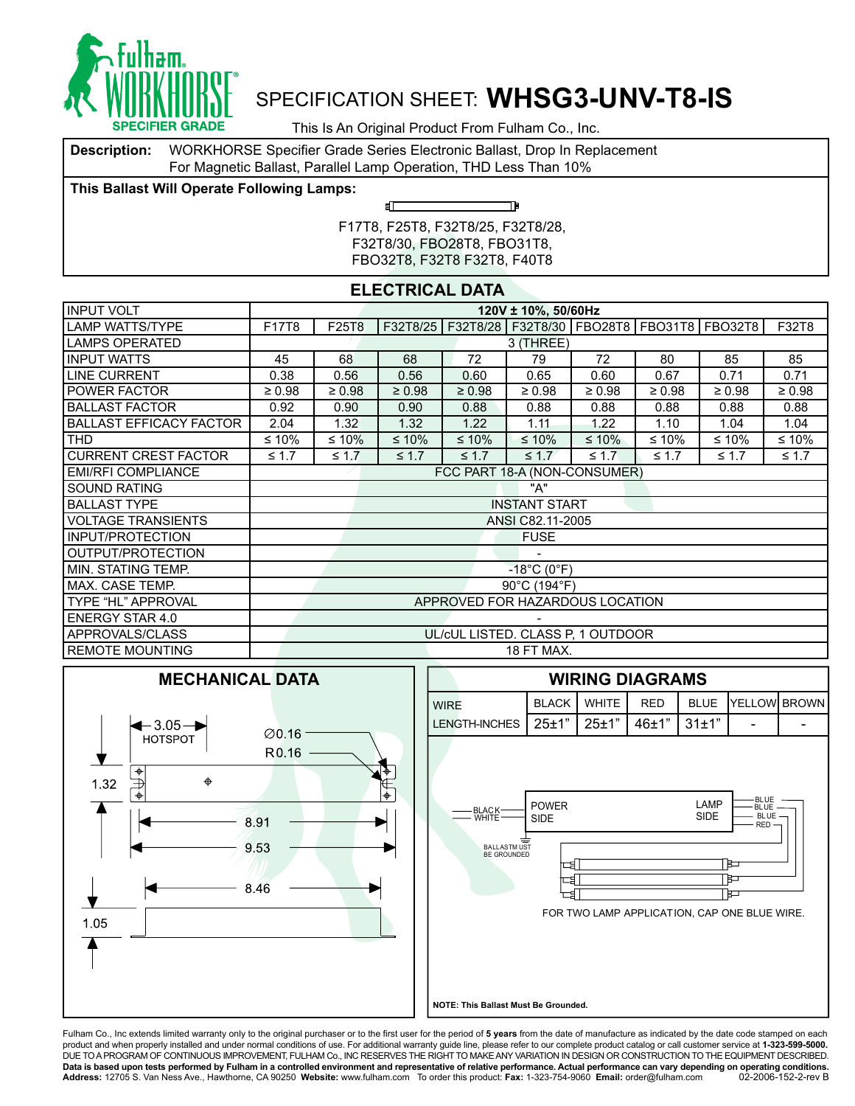

This Is An Original Product From Fulham Co., Inc.

**Description:** WORKHORSE Specifier Grade Series Electronic Ballast, Drop In Replacement For Magnetic Ballast, Parallel Lamp Operation, THD Less Than 10%

சி⊏

**This Ballast Will Operate Following Lamps:**

TÞ

F17T8, F25T8, F32T8/25, F32T8/28, F32T8/30, FBO28T8, FBO31T8, FBO32T8, F32T8 F32T8, F40T8

#### **ELECTRICAL DATA**

| <b>INPUT VOLT</b>              | 120V ± 10%, 50/60Hz          |             |             |             |                                                              |             |             |             |             |  |  |  |
|--------------------------------|------------------------------|-------------|-------------|-------------|--------------------------------------------------------------|-------------|-------------|-------------|-------------|--|--|--|
| LAMP WATTS/TYPE                | F17T8                        | F25T8       |             |             | F32T8/25   F32T8/28   F32T8/30   FBO28T8   FBO31T8   FBO32T8 |             |             |             | F32T8       |  |  |  |
| <b>LAMPS OPERATED</b>          | 3 (THREE)                    |             |             |             |                                                              |             |             |             |             |  |  |  |
| <b>INPUT WATTS</b>             | 45                           | 68          | 68          | 72          | 79                                                           | 72          | 80          | 85          | 85          |  |  |  |
| <b>LINE CURRENT</b>            | 0.38                         | 0.56        | 0.56        | 0.60        | 0.65                                                         | 0.60        | 0.67        | 0.71        | 0.71        |  |  |  |
| I POWER FACTOR                 | $\geq 0.98$                  | $\geq 0.98$ | $\geq 0.98$ | $\geq 0.98$ | $\geq 0.98$                                                  | $\geq 0.98$ | $\geq 0.98$ | $\geq 0.98$ | $\geq 0.98$ |  |  |  |
| <b>BALLAST FACTOR</b>          | 0.92                         | 0.90        | 0.90        | 0.88        | 0.88                                                         | 0.88        | 0.88        | 0.88        | 0.88        |  |  |  |
| <b>BALLAST EFFICACY FACTOR</b> | 2.04                         | 1.32        | 1.32        | 1.22        | 1.11                                                         | 1.22        | 1.10        | 1.04        | 1.04        |  |  |  |
| <b>THD</b>                     | ≤ 10%                        | ≤ 10%       | $≤ 10%$     | $≤ 10%$     | $≤ 10%$                                                      | $≤ 10\%$    | $≤ 10%$     | ≤ 10%       | ≤ 10%       |  |  |  |
| <b>CURRENT CREST FACTOR</b>    | $\leq 1.7$                   | $\leq 1.7$  | $\leq 1.7$  | $\leq 1.7$  | $\leq 1.7$                                                   | $\leq 1.7$  | $\leq 1.7$  | $\leq 1.7$  | $\leq 1.7$  |  |  |  |
| <b>EMI/RFI COMPLIANCE</b>      | FCC PART 18-A (NON-CONSUMER) |             |             |             |                                                              |             |             |             |             |  |  |  |
| I SOUND RATING                 |                              |             |             |             | "A"                                                          |             |             |             |             |  |  |  |
| <b>BALLAST TYPE</b>            |                              |             |             |             | <b>INSTANT START</b>                                         |             |             |             |             |  |  |  |
| I VOLTAGE TRANSIENTS           |                              |             |             |             | ANSI C82.11-2005                                             |             |             |             |             |  |  |  |
| <b>INPUT/PROTECTION</b>        |                              |             |             |             | <b>FUSE</b>                                                  |             |             |             |             |  |  |  |
| OUTPUT/PROTECTION              |                              |             |             |             |                                                              |             |             |             |             |  |  |  |
| MIN. STATING TEMP.             |                              |             |             |             | $-18^{\circ}$ C (0 $^{\circ}$ F)                             |             |             |             |             |  |  |  |
| I MAX. CASE TEMP.              |                              |             |             |             | 90°C (194°F)                                                 |             |             |             |             |  |  |  |
| TYPE "HL" APPROVAL             |                              |             |             |             | APPROVED FOR HAZARDOUS LOCATION                              |             |             |             |             |  |  |  |
| <b>ENERGY STAR 4.0</b>         |                              |             |             |             |                                                              |             |             |             |             |  |  |  |
| APPROVALS/CLASS                |                              |             |             |             | UL/cUL LISTED. CLASS P, 1 OUTDOOR                            |             |             |             |             |  |  |  |
| <b>IREMOTE MOUNTING</b>        |                              |             |             |             | 18 FT MAX.                                                   |             |             |             |             |  |  |  |





**NOTE: This Ballast Must Be Grounded.** 

Fulham Co., Inc extends limited warranty only to the original purchaser or to the first user for the period of 5 years from the date of manufacture as indicated by the date code stamped on each product and when properly installed and under normal conditions of use. For additional warranty guide line, please refer to our complete product catalog or call customer service at **1-323-599-5000.**<br>DUE TO A PROGRAM OF CON **Data is based upon tests performed by Fulham in a controlled environment and representative of relative performance. Actual performance can vary depending on operating conditions.** Address: 12705 S. Van Ness Ave., Hawthorne, CA 90250 Website: www.fulham.com To order this product: Fax: 1-323-754-9060 Email: order@fulham.com 02-2006-152-2-rev B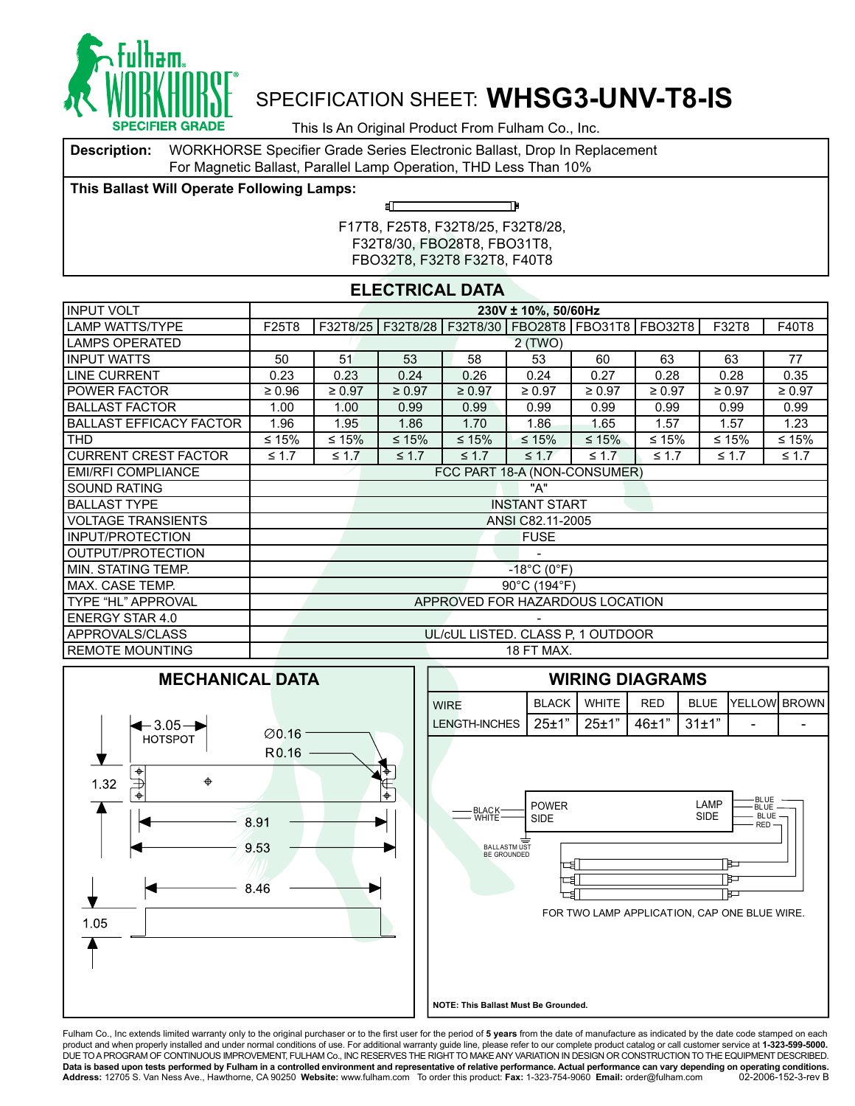

This Is An Original Product From Fulham Co., Inc.

**Description:** WORKHORSE Specifier Grade Series Electronic Ballast, Drop In Replacement For Magnetic Ballast, Parallel Lamp Operation, THD Less Than 10%

ள

**This Ballast Will Operate Following Lamps:**

TÞ

F17T8, F25T8, F32T8/25, F32T8/28, F32T8/30, FBO28T8, FBO31T8, FBO32T8, F32T8 F32T8, F40T8

### **ELECTRICAL DATA**

| <b>INPUT VOLT</b>              |                              |             |             |             | 230V ± 10%, 50/60Hz              |                                   |                                                              |             |             |  |
|--------------------------------|------------------------------|-------------|-------------|-------------|----------------------------------|-----------------------------------|--------------------------------------------------------------|-------------|-------------|--|
| <b>LAMP WATTS/TYPE</b>         | F25T8                        |             |             |             |                                  |                                   | F32T8/25   F32T8/28   F32T8/30   FBO28T8   FBO31T8   FBO32T8 | F32T8       | F40T8       |  |
| LAMPS OPERATED                 |                              | 2(TWO)      |             |             |                                  |                                   |                                                              |             |             |  |
| <b>INPUT WATTS</b>             | 50                           | 51          | 53          | 58          | 53                               | 60                                | 63                                                           | 63          | 77          |  |
| <b>LINE CURRENT</b>            | 0.23                         | 0.23        | 0.24        | 0.26        | 0.24                             | 0.27                              | 0.28                                                         | 0.28        | 0.35        |  |
| <b>I POWER FACTOR</b>          | $\geq 0.96$                  | $\geq 0.97$ | $\geq 0.97$ | $\geq 0.97$ | $\geq 0.97$                      | $\geq 0.97$                       | $\geq 0.97$                                                  | $\geq 0.97$ | $\geq 0.97$ |  |
| <b>BALLAST FACTOR</b>          | 1.00                         | 1.00        | 0.99        | 0.99        | 0.99                             | 0.99                              | 0.99                                                         | 0.99        | 0.99        |  |
| <b>BALLAST EFFICACY FACTOR</b> | 1.96                         | 1.95        | 1.86        | 1.70        | 1.86                             | 1.65                              | 1.57                                                         | 1.57        | 1.23        |  |
| THD                            | ≤ 15%                        | ≤ 15%       | $≤ 15%$     | $≤ 15%$     | $\leq 15\%$                      | $≤ 15%$                           | ≤ 15%                                                        | ≤ 15%       | ≤ 15%       |  |
| <b>CURRENT CREST FACTOR</b>    | $\leq 1.7$                   | $\leq 1.7$  | $\leq 1.7$  | $\leq 1.7$  | $\leq 1.7$                       | $\leq 1.7$                        | $\leq 1.7$                                                   | $\leq 1.7$  | $\leq 1.7$  |  |
| <b>EMI/RFI COMPLIANCE</b>      | FCC PART 18-A (NON-CONSUMER) |             |             |             |                                  |                                   |                                                              |             |             |  |
| <b>SOUND RATING</b>            |                              |             |             |             | "A"                              |                                   |                                                              |             |             |  |
| <b>BALLAST TYPE</b>            |                              |             |             |             | <b>INSTANT START</b>             |                                   |                                                              |             |             |  |
| <b>VOLTAGE TRANSIENTS</b>      |                              |             |             |             | ANSI C82.11-2005                 |                                   |                                                              |             |             |  |
| <b>INPUT/PROTECTION</b>        |                              |             |             |             | <b>FUSE</b>                      |                                   |                                                              |             |             |  |
| OUTPUT/PROTECTION              |                              |             |             |             |                                  |                                   |                                                              |             |             |  |
| I MIN. STATING TEMP.           |                              |             |             |             | $-18^{\circ}$ C (0 $^{\circ}$ F) |                                   |                                                              |             |             |  |
| IMAX. CASE TEMP.               |                              |             |             |             | 90°C (194°F)                     |                                   |                                                              |             |             |  |
| TYPE "HL" APPROVAL             |                              |             |             |             |                                  | APPROVED FOR HAZARDOUS LOCATION   |                                                              |             |             |  |
| <b>ENERGY STAR 4.0</b>         |                              |             |             |             |                                  |                                   |                                                              |             |             |  |
| APPROVALS/CLASS                |                              |             |             |             |                                  | UL/cUL LISTED. CLASS P, 1 OUTDOOR |                                                              |             |             |  |
| <b>REMOTE MOUNTING</b>         |                              |             |             |             | 18 FT MAX.                       |                                   |                                                              |             |             |  |





**NOTE: This Ballast Must Be Grounded.** 

Fulham Co., Inc extends limited warranty only to the original purchaser or to the first user for the period of 5 years from the date of manufacture as indicated by the date code stamped on each product and when properly installed and under normal conditions of use. For additional warranty guide line, please refer to our complete product catalog or call customer service at **1-323-599-5000.**<br>DUE TO A PROGRAM OF CON **Data is based upon tests performed by Fulham in a controlled environment and representative of relative performance. Actual performance can vary depending on operating conditions.** Address: 12705 S. Van Ness Ave., Hawthorne, CA 90250 Website: www.fulham.com To order this product: Fax: 1-323-754-9060 Email: order@fulham.com 02-2006-152-3-rev B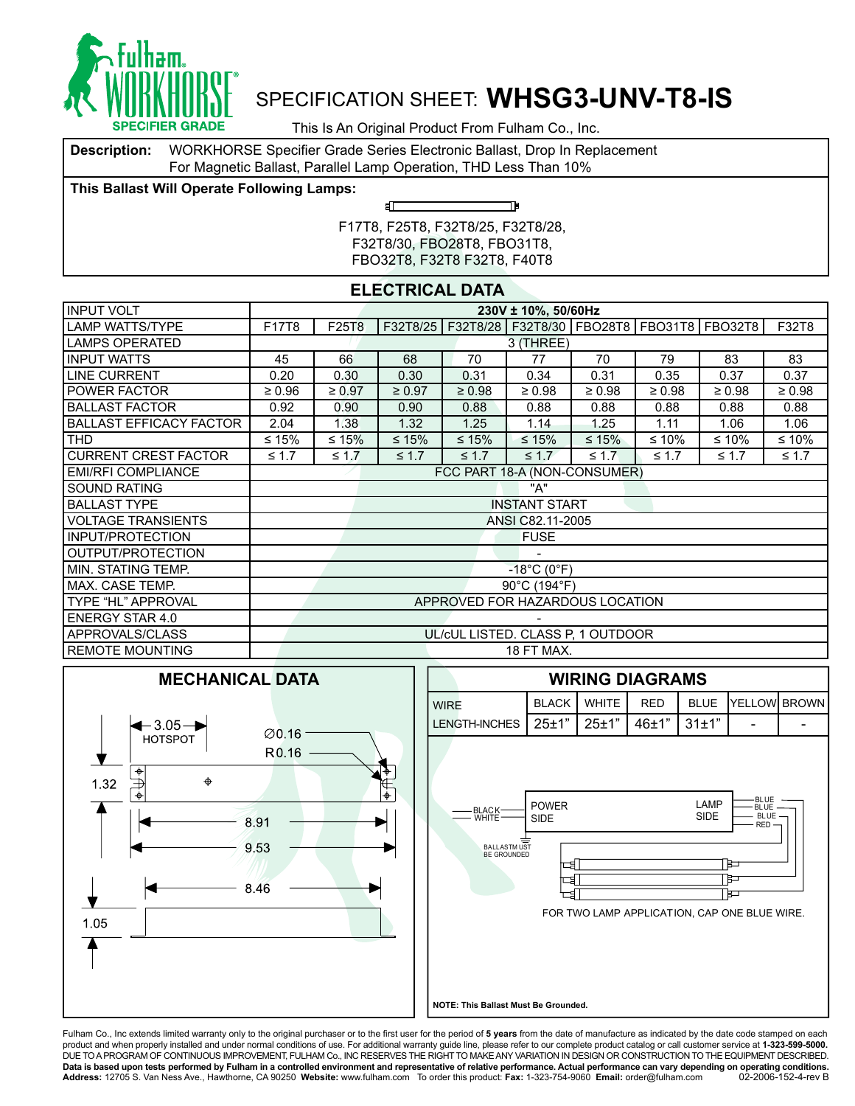

This Is An Original Product From Fulham Co., Inc.

**Description:** WORKHORSE Specifier Grade Series Electronic Ballast, Drop In Replacement For Magnetic Ballast, Parallel Lamp Operation, THD Less Than 10%

சி⊏

**This Ballast Will Operate Following Lamps:**

TÞ

F17T8, F25T8, F32T8/25, F32T8/28, F32T8/30, FBO28T8, FBO31T8, FBO32T8, F32T8 F32T8, F40T8

#### **ELECTRICAL DATA**

| <b>INPUT VOLT</b>              | 230V ± 10%, 50/60Hz |                              |             |             |                                   |             |             |                                                              |             |  |  |  |
|--------------------------------|---------------------|------------------------------|-------------|-------------|-----------------------------------|-------------|-------------|--------------------------------------------------------------|-------------|--|--|--|
| <b>LAMP WATTS/TYPE</b>         | F17T8               | F25T8                        |             |             |                                   |             |             | F32T8/25   F32T8/28   F32T8/30   FBO28T8   FBO31T8   FBO32T8 | F32T8       |  |  |  |
| LAMPS OPERATED                 | 3 (THREE)           |                              |             |             |                                   |             |             |                                                              |             |  |  |  |
| <b>INPUT WATTS</b>             | 45                  | 66                           | 68          | 70          | 77                                | 70          | 79          | 83                                                           | 83          |  |  |  |
| <b>LINE CURRENT</b>            | 0.20                | 0.30                         | 0.30        | 0.31        | 0.34                              | 0.31        | 0.35        | 0.37                                                         | 0.37        |  |  |  |
| <b>POWER FACTOR</b>            | $\geq 0.96$         | $\geq 0.97$                  | $\geq 0.97$ | $\geq 0.98$ | $\geq 0.98$                       | $\geq 0.98$ | $\geq 0.98$ | $\geq 0.98$                                                  | $\geq 0.98$ |  |  |  |
| <b>BALLAST FACTOR</b>          | 0.92                | 0.90                         | 0.90        | 0.88        | 0.88                              | 0.88        | 0.88        | 0.88                                                         | 0.88        |  |  |  |
| <b>BALLAST EFFICACY FACTOR</b> | 2.04                | 1.38                         | 1.32        | 1.25        | 1.14                              | 1.25        | 1.11        | 1.06                                                         | 1.06        |  |  |  |
| <b>THD</b>                     | ≤ 15%               | ≤ 15%                        | $≤ 15%$     | $≤ 15%$     | $≤ 15%$                           | $≤ 15%$     | ≤ 10%       | ≤ 10%                                                        | ≤ 10%       |  |  |  |
| <b>CURRENT CREST FACTOR</b>    | $\leq 1.7$          | $\leq 1.7$                   | $\leq 1.7$  | $\leq 1.7$  | $\leq 1.7$                        | $\leq 1.7$  | $\leq 1.7$  | $\leq 1.7$                                                   | $\leq 1.7$  |  |  |  |
| <b>EMI/RFI COMPLIANCE</b>      |                     | FCC PART 18-A (NON-CONSUMER) |             |             |                                   |             |             |                                                              |             |  |  |  |
| <b>SOUND RATING</b>            |                     |                              |             |             | "A"                               |             |             |                                                              |             |  |  |  |
| <b>BALLAST TYPE</b>            |                     |                              |             |             | <b>INSTANT START</b>              |             |             |                                                              |             |  |  |  |
| <b>VOLTAGE TRANSIENTS</b>      |                     |                              |             |             | ANSI C82.11-2005                  |             |             |                                                              |             |  |  |  |
| INPUT/PROTECTION               |                     |                              |             |             | <b>FUSE</b>                       |             |             |                                                              |             |  |  |  |
| OUTPUT/PROTECTION              |                     |                              |             |             |                                   |             |             |                                                              |             |  |  |  |
| I MIN. STATING TEMP.           |                     |                              |             |             | $-18^{\circ}$ C (0 $^{\circ}$ F)  |             |             |                                                              |             |  |  |  |
| IMAX. CASE TEMP.               |                     |                              |             |             | 90°C (194°F)                      |             |             |                                                              |             |  |  |  |
| TYPE "HL" APPROVAL             |                     |                              |             |             | APPROVED FOR HAZARDOUS LOCATION   |             |             |                                                              |             |  |  |  |
| <b>ENERGY STAR 4.0</b>         |                     |                              |             |             |                                   |             |             |                                                              |             |  |  |  |
| APPROVALS/CLASS                |                     |                              |             |             | UL/cUL LISTED. CLASS P, 1 OUTDOOR |             |             |                                                              |             |  |  |  |
| <b>REMOTE MOUNTING</b>         |                     |                              |             |             | 18 FT MAX.                        |             |             |                                                              |             |  |  |  |





**NOTE: This Ballast Must Be Grounded.** 

Fulham Co., Inc extends limited warranty only to the original purchaser or to the first user for the period of 5 years from the date of manufacture as indicated by the date code stamped on each product and when properly installed and under normal conditions of use. For additional warranty guide line, please refer to our complete product catalog or call customer service at **1-323-599-5000.**<br>DUE TO A PROGRAM OF CON **Data is based upon tests performed by Fulham in a controlled environment and representative of relative performance. Actual performance can vary depending on operating conditions.** Address: 12705 S. Van Ness Ave., Hawthorne, CA 90250 Website: www.fulham.com To order this product: Fax: 1-323-754-9060 Email: order@fulham.com 02-2006-152-4-rev B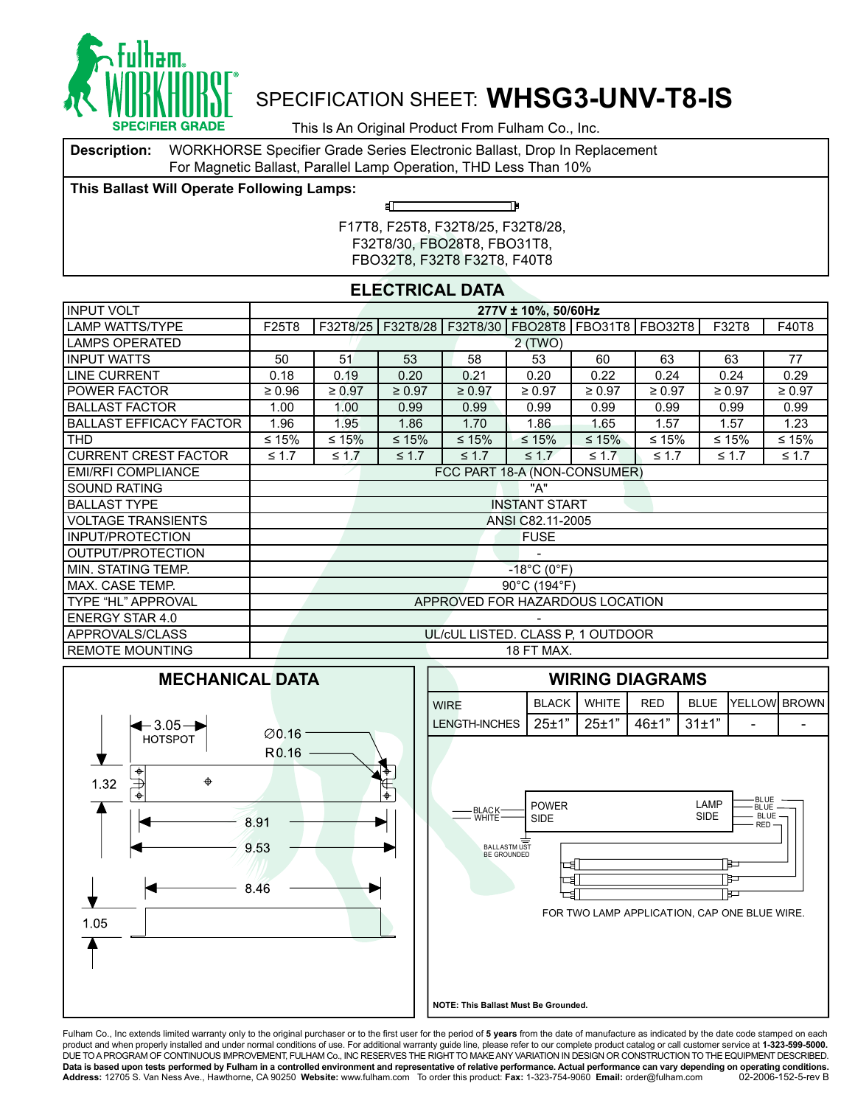

This Is An Original Product From Fulham Co., Inc.

**Description:** WORKHORSE Specifier Grade Series Electronic Ballast, Drop In Replacement For Magnetic Ballast, Parallel Lamp Operation, THD Less Than 10%

ள

**This Ballast Will Operate Following Lamps:**

TÞ

F17T8, F25T8, F32T8/25, F32T8/28, F32T8/30, FBO28T8, FBO31T8, FBO32T8, F32T8 F32T8, F40T8

### **ELECTRICAL DATA**

| <b>INPUT VOLT</b>              |                              |             |             |             | 277V ± 10%, 50/60Hz              |                                   |                                                              |             |             |  |
|--------------------------------|------------------------------|-------------|-------------|-------------|----------------------------------|-----------------------------------|--------------------------------------------------------------|-------------|-------------|--|
| <b>LAMP WATTS/TYPE</b>         | F25T8                        |             |             |             |                                  |                                   | F32T8/25   F32T8/28   F32T8/30   FBO28T8   FBO31T8   FBO32T8 | F32T8       | F40T8       |  |
| LAMPS OPERATED                 |                              | 2(TWO)      |             |             |                                  |                                   |                                                              |             |             |  |
| <b>INPUT WATTS</b>             | 50                           | 51          | 53          | 58          | 53                               | 60                                | 63                                                           | 63          | 77          |  |
| <b>LINE CURRENT</b>            | 0.18                         | 0.19        | 0.20        | 0.21        | 0.20                             | 0.22                              | 0.24                                                         | 0.24        | 0.29        |  |
| <b>I POWER FACTOR</b>          | $\geq 0.96$                  | $\geq 0.97$ | $\geq 0.97$ | $\geq 0.97$ | $\geq 0.97$                      | $\geq 0.97$                       | $\geq 0.97$                                                  | $\geq 0.97$ | $\geq 0.97$ |  |
| <b>BALLAST FACTOR</b>          | 1.00                         | 1.00        | 0.99        | 0.99        | 0.99                             | 0.99                              | 0.99                                                         | 0.99        | 0.99        |  |
| <b>BALLAST EFFICACY FACTOR</b> | 1.96                         | 1.95        | 1.86        | 1.70        | 1.86                             | 1.65                              | 1.57                                                         | 1.57        | 1.23        |  |
| THD                            | ≤ 15%                        | ≤ 15%       | $≤ 15%$     | $≤ 15%$     | $\leq 15\%$                      | $≤ 15%$                           | ≤ 15%                                                        | ≤ 15%       | ≤ 15%       |  |
| <b>CURRENT CREST FACTOR</b>    | $\leq 1.7$                   | $\leq 1.7$  | $\leq 1.7$  | $\leq 1.7$  | $\leq 1.7$                       | $\leq 1.7$                        | $\leq 1.7$                                                   | $\leq 1.7$  | $\leq 1.7$  |  |
| <b>EMI/RFI COMPLIANCE</b>      | FCC PART 18-A (NON-CONSUMER) |             |             |             |                                  |                                   |                                                              |             |             |  |
| <b>SOUND RATING</b>            |                              |             |             |             | "A"                              |                                   |                                                              |             |             |  |
| <b>BALLAST TYPE</b>            |                              |             |             |             | <b>INSTANT START</b>             |                                   |                                                              |             |             |  |
| <b>VOLTAGE TRANSIENTS</b>      |                              |             |             |             | ANSI C82.11-2005                 |                                   |                                                              |             |             |  |
| <b>INPUT/PROTECTION</b>        |                              |             |             |             | <b>FUSE</b>                      |                                   |                                                              |             |             |  |
| OUTPUT/PROTECTION              |                              |             |             |             |                                  |                                   |                                                              |             |             |  |
| I MIN. STATING TEMP.           |                              |             |             |             | $-18^{\circ}$ C (0 $^{\circ}$ F) |                                   |                                                              |             |             |  |
| IMAX. CASE TEMP.               |                              |             |             |             | 90°C (194°F)                     |                                   |                                                              |             |             |  |
| TYPE "HL" APPROVAL             |                              |             |             |             |                                  | APPROVED FOR HAZARDOUS LOCATION   |                                                              |             |             |  |
| <b>ENERGY STAR 4.0</b>         |                              |             |             |             |                                  |                                   |                                                              |             |             |  |
| APPROVALS/CLASS                |                              |             |             |             |                                  | UL/cUL LISTED. CLASS P, 1 OUTDOOR |                                                              |             |             |  |
| <b>REMOTE MOUNTING</b>         |                              |             |             |             | 18 FT MAX.                       |                                   |                                                              |             |             |  |





**NOTE: This Ballast Must Be Grounded.** 

Fulham Co., Inc extends limited warranty only to the original purchaser or to the first user for the period of 5 years from the date of manufacture as indicated by the date code stamped on each product and when properly installed and under normal conditions of use. For additional warranty guide line, please refer to our complete product catalog or call customer service at **1-323-599-5000.**<br>DUE TO A PROGRAM OF CON **Data is based upon tests performed by Fulham in a controlled environment and representative of relative performance. Actual performance can vary depending on operating conditions.** Address: 12705 S. Van Ness Ave., Hawthorne, CA 90250 Website: www.fulham.com To order this product: Fax: 1-323-754-9060 Email: order@fulham.com 02-2006-152-5-rev B